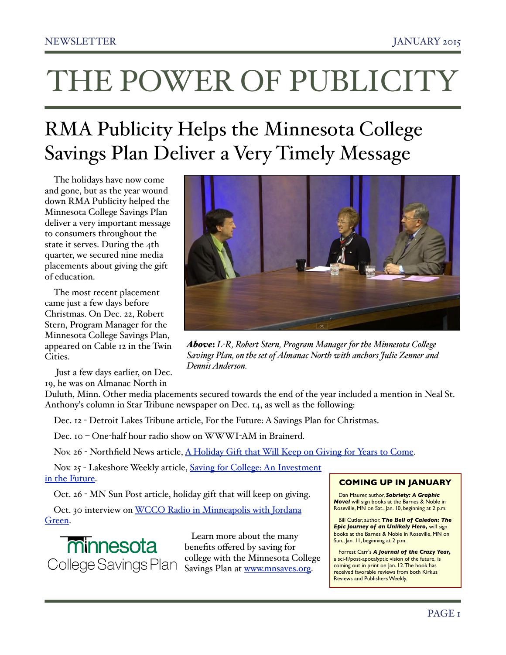# RMA Publicity Helps the Minnesota College Savings Plan Deliver a Very Timely Message

The holidays have now come and gone, but as the year wound down RMA Publicity helped the Minnesota College Savings Plan deliver a very important message to consumers throughout the state it serves. During the 4th quarter, we secured nine media placements about giving the gift of education.

The most recent placement came just a few days before Christmas. On Dec. 22, Robert Stern, Program Manager for the Minnesota College Savings Plan, appeared on Cable 12 in the Twin Cities.

 Just a few days earlier, on Dec. 19, he was on Almanac North in

Duluth, Minn. Other media placements secured towards the end of the year included a mention in Neal St. Anthony's column in Star Tribune newspaper on Dec. 14, as well as the following:

Dec. 12 - Detroit Lakes Tribune article, For the Future: A Savings Plan for Christmas.

Dec. 10 – One-half hour radio show on WWWI-AM in Brainerd.

Nov. 26 - Northfield News article, [A Holiday Gift that Will Keep on Giving for Years to Come.](http://www.southernminn.com/northfield_news/article_a3847267-da6a-5e46-ab93-35779ef68a2b.html)

Nov. 25 - Lakeshore Weekly article, [Saving for College: An Investment](http://www.swnewsmedia.com/lakeshore_weekly/news/education/article_303ce174-782d-5e61-a686-14a46f8b6a4f.html)  [in the Future.](http://www.swnewsmedia.com/lakeshore_weekly/news/education/article_303ce174-782d-5e61-a686-14a46f8b6a4f.html)

Oct. 26 - MN Sun Post article, holiday gift that will keep on giving.

Oct. 30 interview on [WCCO Radio in Minneapolis with Jordana](http://www.rmapublicity.com/images/stories/Audio/TIAA%20CREF,%20MN%20College%20Savings%20Plan%20-%20WCCO%20Radio,%20Minneapolis%20-%20October%2028,%202014.mp3)  [Green.](http://www.rmapublicity.com/images/stories/Audio/TIAA%20CREF,%20MN%20College%20Savings%20Plan%20-%20WCCO%20Radio,%20Minneapolis%20-%20October%2028,%202014.mp3)



 Learn more about the many benefits offered by saving for college with the Minnesota College Savings Plan at [www.mnsaves.org.](http://www.mnsaves.org/)

# **COMING UP IN JANUARY**

Dan Maurer, author, *Sobriety: A Graphic Novel* will sign books at the Barnes & Noble in Roseville, MN on Sat., Jan. 10, beginning at 2 p.m.

Bill Cutler, author, **T***he Bell of Caledon: The Epic Journey of an Unlikely Hero,* will sign books at the Barnes & Noble in Roseville, MN on Sun., Jan. 11, beginning at 2 p.m.

Forrest Carr's *A Journal of the Crazy Year,* a sci-fi/post-apocalyptic vision of the future, is coming out in print on Jan. 12. The book has received favorable reviews from both Kirkus Reviews and Publishers Weekly.

*Above*: *L-R, Robert Stern, Program Manager for the Minnesota Co"ege Savings Plan, on the set of Almanac North with anchors Julie Zenner and Dennis Anderson.* 

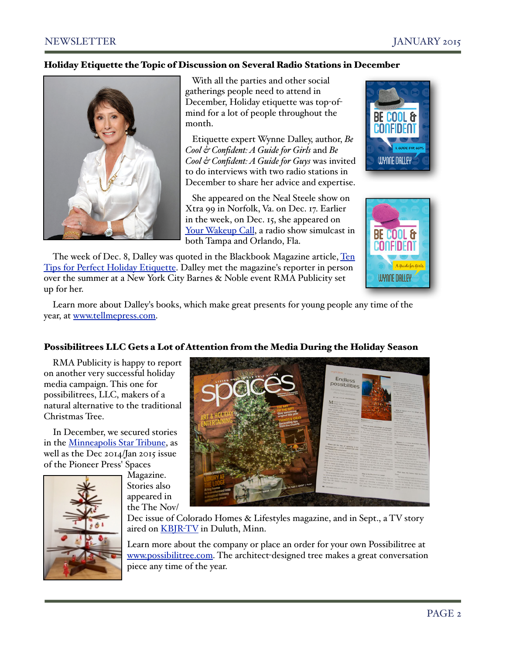# Holiday Etiquette the Topic of Discussion on Several Radio Stations in December



 With all the parties and other social gatherings people need to attend in December, Holiday etiquette was top-ofmind for a lot of people throughout the month.

 Etiquette expert Wynne Dalley, author, *Be Cool & Confident: A Guide for Girls* and *Be Cool & Confident: A Guide for Guys* was invited to do interviews with two radio stations in December to share her advice and expertise.

 She appeared on the Neal Steele show on Xtra 99 in Norfolk, Va. on Dec. 17. Earlier in the week, on Dec. 15, she appeared on [Your Wakeup Call,](http://www.rmapublicity.com/images/stories/Audio/Be%20Cool%20and%20Confident%20-%20News%20Talk%20Florida%20-%20December%2015,%202014.mp3) a radio show simulcast in both Tampa and Orlando, Fla.





The week of Dec. 8, Dalley was quoted in the Blackbook Magazine article, Ten [Tips for Perfect Holiday Etiquette.](http://www.bbook.com/ten-tips-perfect-holiday-etiquette/) Dalley met the magazine's reporter in person over the summer at a New York City Barnes & Noble event RMA Publicity set up for her.

Learn more about Dalley's books, which make great presents for young people any time of the year, at [www.tellmepress.com.](http://www.tellmepress.com/)

# Possibilitrees LLC Gets a Lot of Attention from the Media During the Holiday Season

RMA Publicity is happy to report on another very successful holiday media campaign. This one for possibilitrees, LLC, makers of a natural alternative to the traditional Christmas Tree.

In December, we secured stories in the [Minneapolis Star Tribune,](http://www.startribune.com/lifestyle/homegarden/285642731.html) as well as the Dec 2014/Jan 2015 issue of the Pioneer Press' Spaces



Magazine. Stories also appeared in the The Nov/



Dec issue of Colorado Homes & Lifestyles magazine, and in Sept., a TV story aired on **KBJR-TV** in Duluth, Minn.

Learn more about the company or place an order for your own Possibilitree at [www.possibilitree.com.](http://www.possibilitree.com) The architect-designed tree makes a great conversation piece any time of the year.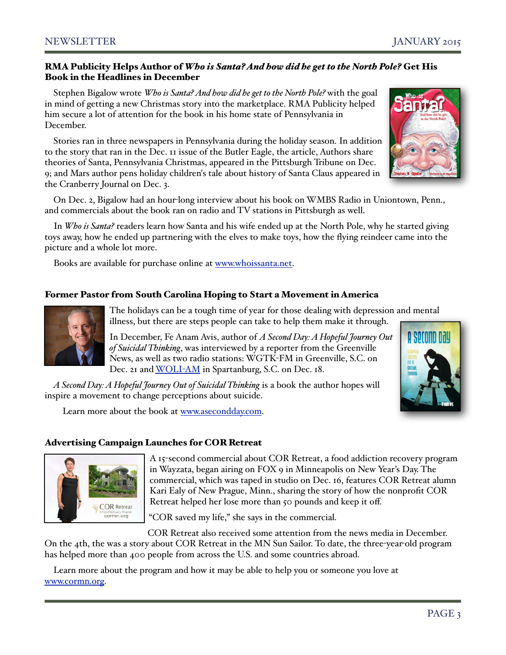# RMA Publicity Helps Author of *Who is Santa? And how did he get to the North Pole?* Get His Book in the Headlines in December

Stephen Bigalow wrote *Who is Santa? And how did he get to the North Pole?* with the goal in mind of getting a new Christmas story into the marketplace. RMA Publicity helped him secure a lot of attention for the book in his home state of Pennsylvania in December.

Stories ran in three newspapers in Pennsylvania during the holiday season. In addition to the story that ran in the Dec. 11 issue of the Butler Eagle, the article, Authors share theories of Santa, Pennsylvania Christmas, appeared in the Pittsburgh Tribune on Dec. 9; and Mars author pens holiday children's tale about history of Santa Claus appeared in the Cranberry Journal on Dec. 3.

On Dec. 2, Bigalow had an hour-long interview about his book on [WMBS Radio i](http://www.rmapublicity.com/images/stories/Audio/Who%20is%20Santa%20-%20WMBS%20Radio,%20Uniontown%20-%20December%202,%202014.mp3)n Uniontown, Penn., and commercials about the book ran on radio and TV stations in Pittsburgh as well.

In *Who is Santa?* readers learn how Santa and his wife ended up at the North Pole, why he started giving toys away, how he ended up partnering with the elves to make toys, how the flying reindeer came into the picture and a whole lot more.

Books are available for purchase online at [www.whoissanta.net.](http://www.whoissanta.net/)

# Former Pastor from South Carolina Hoping to Start a Movement in America



The holidays can be a tough time of year for those dealing with depression and mental illness, but there are steps people can take to help them make it through.

In December, Fe Anam Avis, author of *A Second Day: A Hopeful Journey Out of Suicidal Thinking*, was interviewed by a reporter from the Greenville News, as well as two radio stations: WGTK-FM in Greenville, S.C. on Dec. 21 and [WOLI](http://www.rmapublicity.com/images/stories/Audio/A%20Second%20Day%20-%20WOLI%20Radio,%20Spartanburg%20-%20December%2011,%202014.MP3)-AM in Spartanburg, S.C. on Dec. 18.

*A Second Day: A Hopeful Journey Out of Suicidal Thinking* is a book the author hopes will inspire a movement to change perceptions about suicide.

Learn more about the book at [www.asecondday.com.](http://www.asecondday.com)

# Advertising Campaign Launches for COR Retreat



A 15-second commercial about COR Retreat, a food addiction recovery program in Wayzata, began airing on FOX 9 in Minneapolis on New Year's Day. The commercial, which was taped in studio on Dec. 16, features COR Retreat alumn Kari Ealy of New Prague, Minn., sharing the story of how the nonprofit COR Retreat helped her lose more than 50 pounds and keep it off.

"COR saved my life," she says in the commercial.

 COR Retreat also received some attention from the news media in December. On the 4th, the was a story about COR Retreat in the [MN Sun Sailor.](http://www.rmapublicity.com/COR%20Retreat,%20a%20monthly%20program%20that%20helps%20food%20addicts%20find%20the%20road%20to%20recovery,%20is%20featured%20in%20this%20week) To date, the three-year-old program has helped more than 400 people from across the U.S. and some countries abroad.

Learn more about the program and how it may be able to help you or someone you love at [www.cormn.org.](http://www.cormn.org/)

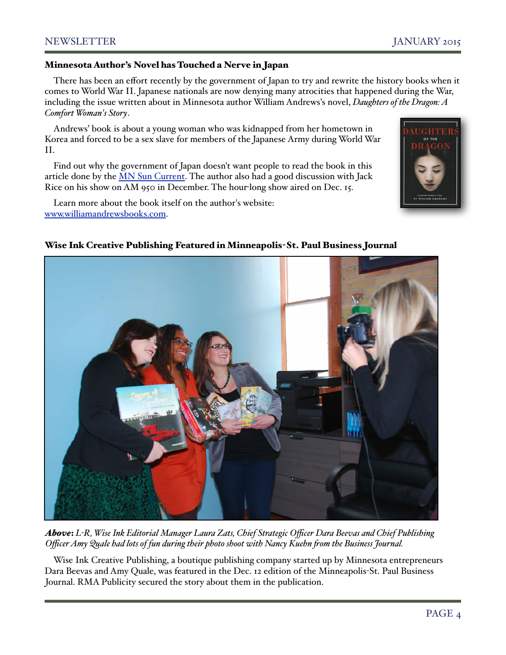# Minnesota Author's Novel has Touched a Nerve in Japan

There has been an effort recently by the government of Japan to try and rewrite the history books when it comes to World War II. Japanese nationals are now denying many atrocities that happened during the War, including the issue written about in Minnesota author William Andrews's novel, *Daughters of the Dragon: A Comfort Woman's Story*.

Andrews' book is about a young woman who was kidnapped from her hometown in Korea and forced to be a sex slave for members of the Japanese Army during World War II.

Find out why the government of Japan doesn't want people to read the book in this article done by the [MN Sun Current.](http://current.mnsun.com/2014/12/edina-authors-novel-riles-japanese-nationalists/) The author also had a good discussion with Jack Rice on his show on AM 950 in December. The hour-long show aired on Dec. 15.

Learn more about the book itself on the author's website: [www.williamandrewsbooks.com.](http://www.williamandrewsbooks.com/)



# Wise Ink Creative Publishing Featured in Minneapolis-St. Paul Business Journal



*Above*: *L-R, Wise Ink Editorial Manager Laura Zats, Chief Strategic Officer Dara Beevas and Chief Publishing Officer Amy Quale had lots of fun during their photo shoot with Nancy Kuehn \$om the Business Journal.*

Wise Ink Creative Publishing, a boutique publishing company started up by Minnesota entrepreneurs Dara Beevas and Amy Quale, was featured in the Dec. 12 edition of the Minneapolis-St. Paul Business Journal. RMA Publicity secured the story about them in the publication.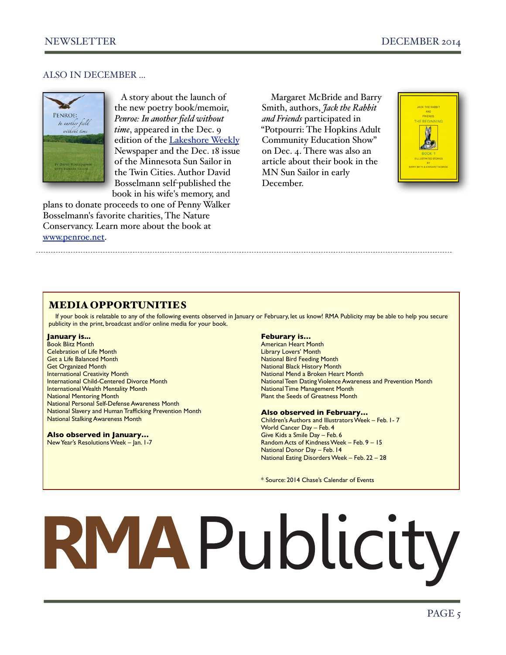# ALSO IN DECEMBER ...



 A story about the launch of the new poetry book/memoir, *Penroe: In another field without time*, appeared in the Dec. 9 edition of the [Lakeshore Weekly](http://www.swnewsmedia.com/lakeshore_weekly/news/local/article_01482fdd-1579-53bf-a924-6da890f1abb8.html) Newspaper and the Dec. 18 issue of the Minnesota Sun Sailor in the Twin Cities. Author David Bosselmann self-published the book in his wife's memory, and

plans to donate proceeds to one of Penny Walker Bosselmann's favorite charities, The Nature Conservancy. Learn more about the book at [www.penroe.net.](http://www.penroe.net/)

Margaret McBride and Barry Smith, authors, *Jack the Rabbit and Friends* participated in "Potpourri: The Hopkins Adult Community Education Show" on Dec. 4. There was also an article about their book in the MN Sun Sailor in early December.



# MEDIA OPPORTUNITIES

If your book is relatable to any of the following events observed in January or February, let us know! RMA Publicity may be able to help you secure publicity in the print, broadcast and/or online media for your book.

#### **January is...**

Book Blitz Month Celebration of Life Month Get a Life Balanced Month Get Organized Month International Creativity Month International Child-Centered Divorce Month International Wealth Mentality Month National Mentoring Month National Personal Self-Defense Awareness Month National Slavery and Human Trafficking Prevention Month National Stalking Awareness Month

## **Also observed in January…**

New Year's Resolutions Week – Jan. 1-7

### **Feburary is…**

American Heart Month Library Lovers' Month National Bird Feeding Month National Black History Month National Mend a Broken Heart Month National Teen Dating Violence Awareness and Prevention Month National Time Management Month Plant the Seeds of Greatness Month

#### **Also observed in February…**

Children's Authors and Illustrators Week – Feb. 1- 7 World Cancer Day – Feb. 4 Give Kids a Smile Day – Feb. 6 Random Acts of Kindness Week – Feb. 9 – 15 National Donor Day – Feb. 14 National Eating Disorders Week – Feb. 22 – 28

\* Source: 2014 Chase's Calendar of Events

# RMAPublicity